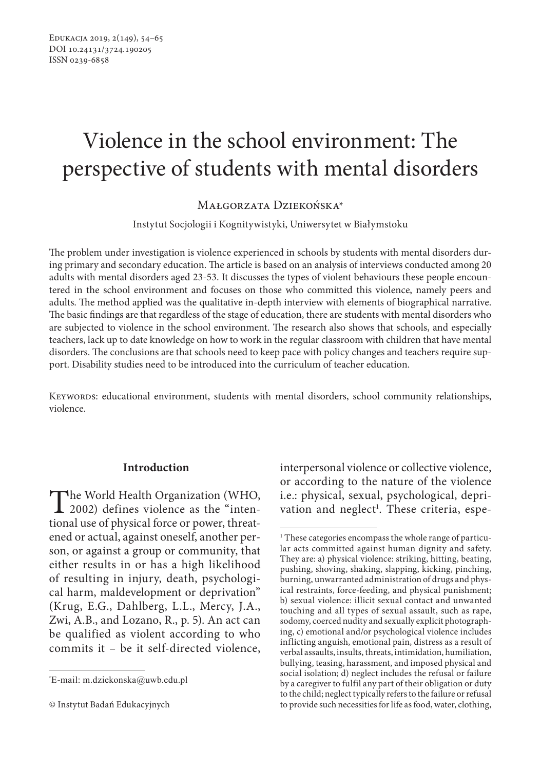# Violence in the school environment: The perspective of students with mental disorders

Małgorzata Dziekońska\*

Instytut Socjologii i Kognitywistyki, Uniwersytet w Białymstoku

The problem under investigation is violence experienced in schools by students with mental disorders during primary and secondary education. The article is based on an analysis of interviews conducted among 20 adults with mental disorders aged 23-53. It discusses the types of violent behaviours these people encountered in the school environment and focuses on those who committed this violence, namely peers and adults. The method applied was the qualitative in-depth interview with elements of biographical narrative. The basic findings are that regardless of the stage of education, there are students with mental disorders who are subjected to violence in the school environment. The research also shows that schools, and especially teachers, lack up to date knowledge on how to work in the regular classroom with children that have mental disorders. The conclusions are that schools need to keep pace with policy changes and teachers require support. Disability studies need to be introduced into the curriculum of teacher education.

KEYWORDS: educational environment, students with mental disorders, school community relationships, violence.

#### **Introduction**

The World Health Organization (WHO,<br>
2002) defines violence as the "inten-<br>
tional use of abusial force an annual threat tional use of physical force or power, threatened or actual, against oneself, another person, or against a group or community, that either results in or has a high likelihood of resulting in injury, death, psychological harm, maldevelopment or deprivation" (Krug, E.G., Dahlberg, L.L., Mercy, J.A., Zwi, A.B., and Lozano, R., p. 5). An act can be qualified as violent according to who commits it – be it self-directed violence,

interpersonal violence or collective violence, or according to the nature of the violence i.e.: physical, sexual, psychological, deprivation and neglect<sup>1</sup>. These criteria, espe-

<sup>\*</sup> E-mail: m.dziekonska@uwb.edu.pl

<sup>©</sup> Instytut Badań Edukacyjnych

<sup>&</sup>lt;sup>1</sup> These categories encompass the whole range of particular acts committed against human dignity and safety. They are: a) physical violence: striking, hitting, beating, pushing, shoving, shaking, slapping, kicking, pinching, burning, unwarranted administration of drugs and physical restraints, force-feeding, and physical punishment; b) sexual violence: illicit sexual contact and unwanted touching and all types of sexual assault, such as rape, sodomy, coerced nudity and sexually explicit photographing, c) emotional and/or psychological violence includes inflicting anguish, emotional pain, distress as a result of verbal assaults, insults, threats, intimidation, humiliation, bullying, teasing, harassment, and imposed physical and social isolation; d) neglect includes the refusal or failure by a caregiver to fulfil any part of their obligation or duty to the child; neglect typically refers to the failure or refusal to provide such necessities for life as food, water, clothing,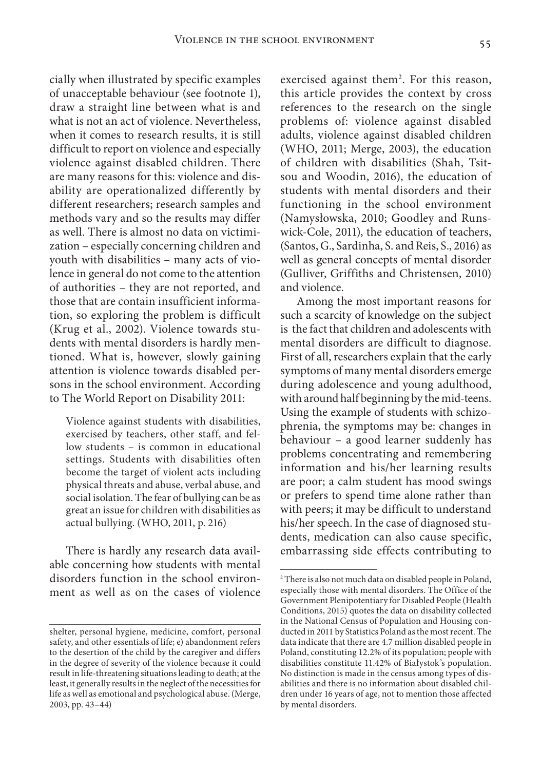cially when illustrated by specific examples of unacceptable behaviour (see footnote 1), draw a straight line between what is and what is not an act of violence. Nevertheless, when it comes to research results, it is still difficult to report on violence and especially violence against disabled children. There are many reasons for this: violence and disability are operationalized differently by different researchers; research samples and methods vary and so the results may differ as well. There is almost no data on victimization – especially concerning children and youth with disabilities – many acts of violence in general do not come to the attention of authorities – they are not reported, and those that are contain insufficient information, so exploring the problem is difficult (Krug et al., 2002). Violence towards students with mental disorders is hardly mentioned. What is, however, slowly gaining attention is violence towards disabled persons in the school environment. According to The World Report on Disability 2011:

Violence against students with disabilities, exercised by teachers, other staff, and fellow students – is common in educational settings. Students with disabilities often become the target of violent acts including physical threats and abuse, verbal abuse, and social isolation. The fear of bullying can be as great an issue for children with disabilities as actual bullying. (WHO, 2011, p. 216)

There is hardly any research data available concerning how students with mental disorders function in the school environment as well as on the cases of violence

exercised against them<sup>2</sup>. For this reason, this article provides the context by cross references to the research on the single problems of: violence against disabled adults, violence against disabled children (WHO, 2011; Merge, 2003), the education of children with disabilities (Shah, Tsitsou and Woodin, 2016), the education of students with mental disorders and their functioning in the school environment (Namysłowska, 2010; Goodley and Runswick-Cole, 2011), the education of teachers, (Santos, G., Sardinha, S. and Reis, S., 2016) as well as general concepts of mental disorder (Gulliver, Griffiths and Christensen, 2010) and violence.

Among the most important reasons for such a scarcity of knowledge on the subject is the fact that children and adolescents with mental disorders are difficult to diagnose. First of all, researchers explain that the early symptoms of many mental disorders emerge during adolescence and young adulthood, with around half beginning by the mid-teens. Using the example of students with schizophrenia, the symptoms may be: changes in behaviour – a good learner suddenly has problems concentrating and remembering information and his/her learning results are poor; a calm student has mood swings or prefers to spend time alone rather than with peers; it may be difficult to understand his/her speech. In the case of diagnosed students, medication can also cause specific, embarrassing side effects contributing to

shelter, personal hygiene, medicine, comfort, personal safety, and other essentials of life; e) abandonment refers to the desertion of the child by the caregiver and differs in the degree of severity of the violence because it could result in life-threatening situations leading to death; at the least, it generally results in the neglect of the necessities for life as well as emotional and psychological abuse. (Merge, 2003, pp. 43–44)

<sup>2</sup> There is also not much data on disabled people in Poland, especially those with mental disorders. The Office of the Government Plenipotentiary for Disabled People (Health Conditions, 2015) quotes the data on disability collected in the National Census of Population and Housing conducted in 2011 by Statistics Poland as the most recent. The data indicate that there are 4.7 million disabled people in Poland, constituting 12.2% of its population; people with disabilities constitute 11.42% of Białystok's population. No distinction is made in the census among types of disabilities and there is no information about disabled children under 16 years of age, not to mention those affected by mental disorders.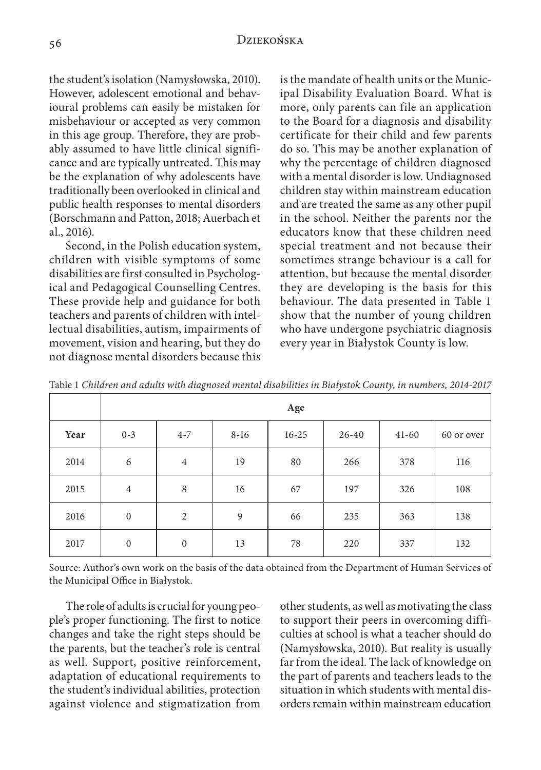the student's isolation (Namysłowska, 2010). However, adolescent emotional and behavioural problems can easily be mistaken for misbehaviour or accepted as very common in this age group. Therefore, they are probably assumed to have little clinical significance and are typically untreated. This may be the explanation of why adolescents have traditionally been overlooked in clinical and public health responses to mental disorders (Borschmann and Patton, 2018; Auerbach et al., 2016).

Second, in the Polish education system, children with visible symptoms of some disabilities are first consulted in Psychological and Pedagogical Counselling Centres. These provide help and guidance for both teachers and parents of children with intellectual disabilities, autism, impairments of movement, vision and hearing, but they do not diagnose mental disorders because this

is the mandate of health units or the Municipal Disability Evaluation Board. What is more, only parents can file an application to the Board for a diagnosis and disability certificate for their child and few parents do so. This may be another explanation of why the percentage of children diagnosed with a mental disorder is low. Undiagnosed children stay within mainstream education and are treated the same as any other pupil in the school. Neither the parents nor the educators know that these children need special treatment and not because their sometimes strange behaviour is a call for attention, but because the mental disorder they are developing is the basis for this behaviour. The data presented in Table 1 show that the number of young children who have undergone psychiatric diagnosis every year in Białystok County is low.

|      | Age              |                |        |           |           |           |            |
|------|------------------|----------------|--------|-----------|-----------|-----------|------------|
| Year | $0 - 3$          | $4 - 7$        | $8-16$ | $16 - 25$ | $26 - 40$ | $41 - 60$ | 60 or over |
| 2014 | 6                | $\overline{4}$ | 19     | 80        | 266       | 378       | 116        |
| 2015 | $\overline{4}$   | 8              | 16     | 67        | 197       | 326       | 108        |
| 2016 | $\boldsymbol{0}$ | 2              | 9      | 66        | 235       | 363       | 138        |
| 2017 | $\boldsymbol{0}$ | $\mathbf{0}$   | 13     | 78        | 220       | 337       | 132        |

Table 1 *Children and adults with diagnosed mental disabilities in Białystok County, in numbers, 2014-2017* 

Source: Author's own work on the basis of the data obtained from the Department of Human Services of the Municipal Office in Białystok.

The role of adults is crucial for young people's proper functioning. The first to notice changes and take the right steps should be the parents, but the teacher's role is central as well. Support, positive reinforcement, adaptation of educational requirements to the student's individual abilities, protection against violence and stigmatization from

other students, as well as motivating the class to support their peers in overcoming difficulties at school is what a teacher should do (Namysłowska, 2010). But reality is usually far from the ideal. The lack of knowledge on the part of parents and teachers leads to the situation in which students with mental disorders remain within mainstream education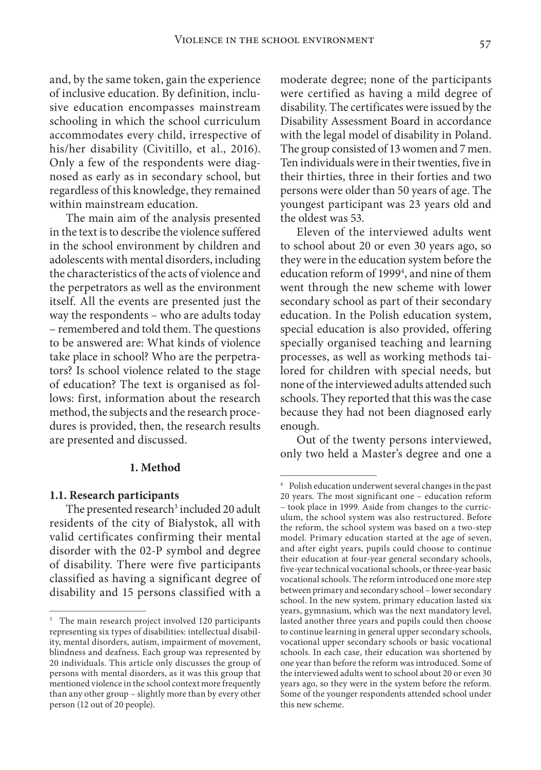and, by the same token, gain the experience of inclusive education. By definition, inclusive education encompasses mainstream schooling in which the school curriculum accommodates every child, irrespective of his/her disability (Civitillo, et al., 2016). Only a few of the respondents were diagnosed as early as in secondary school, but regardless of this knowledge, they remained within mainstream education.

The main aim of the analysis presented in the text is to describe the violence suffered in the school environment by children and adolescents with mental disorders, including the characteristics of the acts of violence and the perpetrators as well as the environment itself. All the events are presented just the way the respondents – who are adults today – remembered and told them. The questions to be answered are: What kinds of violence take place in school? Who are the perpetrators? Is school violence related to the stage of education? The text is organised as follows: first, information about the research method, the subjects and the research procedures is provided, then, the research results are presented and discussed.

## **1. Method**

#### **1.1. Research participants**

The presented research<sup>3</sup> included 20 adult residents of the city of Białystok, all with valid certificates confirming their mental disorder with the 02-P symbol and degree of disability. There were five participants classified as having a significant degree of disability and 15 persons classified with a

moderate degree; none of the participants were certified as having a mild degree of disability. The certificates were issued by the Disability Assessment Board in accordance with the legal model of disability in Poland. The group consisted of 13 women and 7 men. Ten individuals were in their twenties, five in their thirties, three in their forties and two persons were older than 50 years of age. The youngest participant was 23 years old and the oldest was 53.

Eleven of the interviewed adults went to school about 20 or even 30 years ago, so they were in the education system before the education reform of 19994 , and nine of them went through the new scheme with lower secondary school as part of their secondary education. In the Polish education system, special education is also provided, offering specially organised teaching and learning processes, as well as working methods tailored for children with special needs, but none of the interviewed adults attended such schools. They reported that this was the case because they had not been diagnosed early enough.

Out of the twenty persons interviewed, only two held a Master's degree and one a

<sup>&</sup>lt;sup>3</sup> The main research project involved 120 participants representing six types of disabilities: intellectual disability, mental disorders, autism, impairment of movement, blindness and deafness. Each group was represented by 20 individuals. This article only discusses the group of persons with mental disorders, as it was this group that mentioned violence in the school context more frequently than any other group – slightly more than by every other person (12 out of 20 people).

<sup>4</sup> Polish education underwent several changes in the past 20 years. The most significant one – education reform – took place in 1999. Aside from changes to the curriculum, the school system was also restructured. Before the reform, the school system was based on a two-step model. Primary education started at the age of seven, and after eight years, pupils could choose to continue their education at four-year general secondary schools, five-year technical vocational schools, or three-year basic vocational schools. The reform introduced one more step between primary and secondary school – lower secondary school. In the new system, primary education lasted six years, gymnasium, which was the next mandatory level, lasted another three years and pupils could then choose to continue learning in general upper secondary schools, vocational upper secondary schools or basic vocational schools. In each case, their education was shortened by one year than before the reform was introduced. Some of the interviewed adults went to school about 20 or even 30 years ago, so they were in the system before the reform. Some of the younger respondents attended school under this new scheme.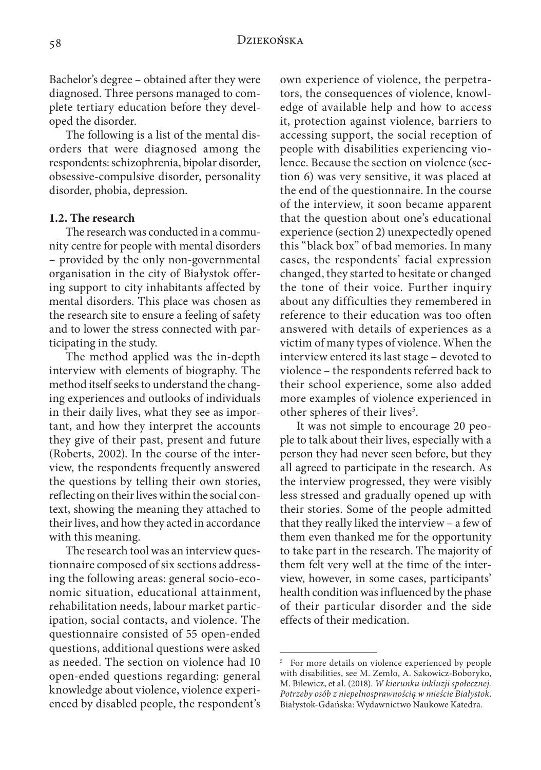Bachelor's degree – obtained after they were diagnosed. Three persons managed to complete tertiary education before they developed the disorder.

The following is a list of the mental disorders that were diagnosed among the respondents: schizophrenia, bipolar disorder, obsessive-compulsive disorder, personality disorder, phobia, depression.

## **1.2. The research**

The research was conducted in a community centre for people with mental disorders – provided by the only non-governmental organisation in the city of Białystok offering support to city inhabitants affected by mental disorders. This place was chosen as the research site to ensure a feeling of safety and to lower the stress connected with participating in the study.

The method applied was the in-depth interview with elements of biography. The method itself seeks to understand the changing experiences and outlooks of individuals in their daily lives, what they see as important, and how they interpret the accounts they give of their past, present and future (Roberts, 2002). In the course of the interview, the respondents frequently answered the questions by telling their own stories, reflecting on their lives within the social context, showing the meaning they attached to their lives, and how they acted in accordance with this meaning.

The research tool was an interview questionnaire composed of six sections addressing the following areas: general socio-economic situation, educational attainment, rehabilitation needs, labour market participation, social contacts, and violence. The questionnaire consisted of 55 open-ended questions, additional questions were asked as needed. The section on violence had 10 open-ended questions regarding: general knowledge about violence, violence experienced by disabled people, the respondent's own experience of violence, the perpetrators, the consequences of violence, knowledge of available help and how to access it, protection against violence, barriers to accessing support, the social reception of people with disabilities experiencing violence. Because the section on violence (section 6) was very sensitive, it was placed at the end of the questionnaire. In the course of the interview, it soon became apparent that the question about one's educational experience (section 2) unexpectedly opened this "black box" of bad memories. In many cases, the respondents' facial expression changed, they started to hesitate or changed the tone of their voice. Further inquiry about any difficulties they remembered in reference to their education was too often answered with details of experiences as a victim of many types of violence. When the interview entered its last stage – devoted to violence – the respondents referred back to their school experience, some also added more examples of violence experienced in other spheres of their lives<sup>5</sup>.

It was not simple to encourage 20 people to talk about their lives, especially with a person they had never seen before, but they all agreed to participate in the research. As the interview progressed, they were visibly less stressed and gradually opened up with their stories. Some of the people admitted that they really liked the interview – a few of them even thanked me for the opportunity to take part in the research. The majority of them felt very well at the time of the interview, however, in some cases, participants' health condition was influenced by the phase of their particular disorder and the side effects of their medication.

<sup>5</sup> For more details on violence experienced by people with disabilities, see M. Zemło, A. Sakowicz-Boboryko, M. Bilewicz, et al. (2018). *W kierunku inkluzji społecznej. Potrzeby osób z niepełnosprawnością w mieście Białystok*. Białystok-Gdańska: Wydawnictwo Naukowe Katedra.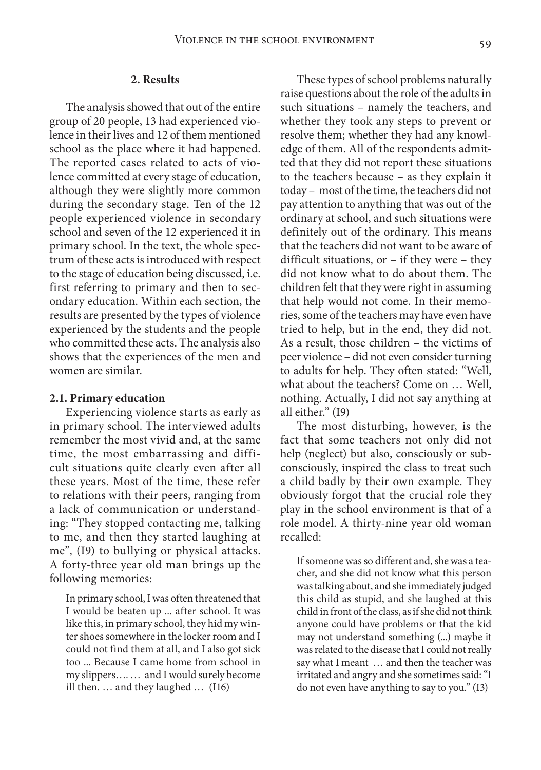#### **2. Results**

The analysis showed that out of the entire group of 20 people, 13 had experienced violence in their lives and 12 of them mentioned school as the place where it had happened. The reported cases related to acts of violence committed at every stage of education, although they were slightly more common during the secondary stage. Ten of the 12 people experienced violence in secondary school and seven of the 12 experienced it in primary school. In the text, the whole spectrum of these acts is introduced with respect to the stage of education being discussed, i.e. first referring to primary and then to secondary education. Within each section, the results are presented by the types of violence experienced by the students and the people who committed these acts. The analysis also shows that the experiences of the men and women are similar.

#### **2.1. Primary education**

Experiencing violence starts as early as in primary school. The interviewed adults remember the most vivid and, at the same time, the most embarrassing and difficult situations quite clearly even after all these years. Most of the time, these refer to relations with their peers, ranging from a lack of communication or understanding: "They stopped contacting me, talking to me, and then they started laughing at me", (I9) to bullying or physical attacks. A forty-three year old man brings up the following memories:

In primary school, I was often threatened that I would be beaten up ... after school. It was like this, in primary school, they hid my winter shoes somewhere in the locker room and I could not find them at all, and I also got sick too ... Because I came home from school in my slippers…. … and I would surely become ill then. … and they laughed … (I16)

These types of school problems naturally raise questions about the role of the adults in such situations – namely the teachers, and whether they took any steps to prevent or resolve them; whether they had any knowledge of them. All of the respondents admitted that they did not report these situations to the teachers because – as they explain it today – most of the time, the teachers did not pay attention to anything that was out of the ordinary at school, and such situations were definitely out of the ordinary. This means that the teachers did not want to be aware of difficult situations, or – if they were – they did not know what to do about them. The children felt that they were right in assuming that help would not come. In their memories, some of the teachers may have even have tried to help, but in the end, they did not. As a result, those children – the victims of peer violence – did not even consider turning to adults for help. They often stated: "Well, what about the teachers? Come on … Well, nothing. Actually, I did not say anything at all either." (I9)

The most disturbing, however, is the fact that some teachers not only did not help (neglect) but also, consciously or subconsciously, inspired the class to treat such a child badly by their own example. They obviously forgot that the crucial role they play in the school environment is that of a role model. A thirty-nine year old woman recalled:

If someone was so different and, she was a teacher, and she did not know what this person was talking about, and she immediately judged this child as stupid, and she laughed at this child in front of the class, as if she did not think anyone could have problems or that the kid may not understand something (...) maybe it was related to the disease that I could not really say what I meant … and then the teacher was irritated and angry and she sometimes said: "I do not even have anything to say to you." (I3)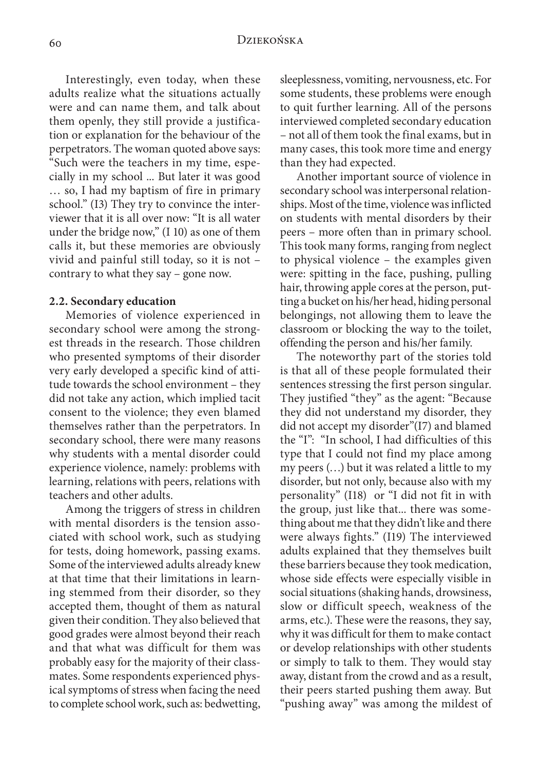Interestingly, even today, when these adults realize what the situations actually were and can name them, and talk about them openly, they still provide a justification or explanation for the behaviour of the perpetrators. The woman quoted above says: "Such were the teachers in my time, especially in my school ... But later it was good … so, I had my baptism of fire in primary school." (I3) They try to convince the interviewer that it is all over now: "It is all water under the bridge now," (I 10) as one of them calls it, but these memories are obviously vivid and painful still today, so it is not – contrary to what they say – gone now.

#### **2.2. Secondary education**

Memories of violence experienced in secondary school were among the strongest threads in the research. Those children who presented symptoms of their disorder very early developed a specific kind of attitude towards the school environment – they did not take any action, which implied tacit consent to the violence; they even blamed themselves rather than the perpetrators. In secondary school, there were many reasons why students with a mental disorder could experience violence, namely: problems with learning, relations with peers, relations with teachers and other adults.

Among the triggers of stress in children with mental disorders is the tension associated with school work, such as studying for tests, doing homework, passing exams. Some of the interviewed adults already knew at that time that their limitations in learning stemmed from their disorder, so they accepted them, thought of them as natural given their condition. They also believed that good grades were almost beyond their reach and that what was difficult for them was probably easy for the majority of their classmates. Some respondents experienced physical symptoms of stress when facing the need to complete school work, such as: bedwetting,

sleeplessness, vomiting, nervousness, etc. For some students, these problems were enough to quit further learning. All of the persons interviewed completed secondary education – not all of them took the final exams, but in many cases, this took more time and energy than they had expected.

Another important source of violence in secondary school was interpersonal relationships. Most of the time, violence was inflicted on students with mental disorders by their peers – more often than in primary school. This took many forms, ranging from neglect to physical violence – the examples given were: spitting in the face, pushing, pulling hair, throwing apple cores at the person, putting a bucket on his/her head, hiding personal belongings, not allowing them to leave the classroom or blocking the way to the toilet, offending the person and his/her family.

The noteworthy part of the stories told is that all of these people formulated their sentences stressing the first person singular. They justified "they" as the agent: "Because they did not understand my disorder, they did not accept my disorder"(I7) and blamed the "I": "In school, I had difficulties of this type that I could not find my place among my peers (…) but it was related a little to my disorder, but not only, because also with my personality" (I18) or "I did not fit in with the group, just like that... there was something about me that they didn't like and there were always fights." (I19) The interviewed adults explained that they themselves built these barriers because they took medication, whose side effects were especially visible in social situations (shaking hands, drowsiness, slow or difficult speech, weakness of the arms, etc.). These were the reasons, they say, why it was difficult for them to make contact or develop relationships with other students or simply to talk to them. They would stay away, distant from the crowd and as a result, their peers started pushing them away. But "pushing away" was among the mildest of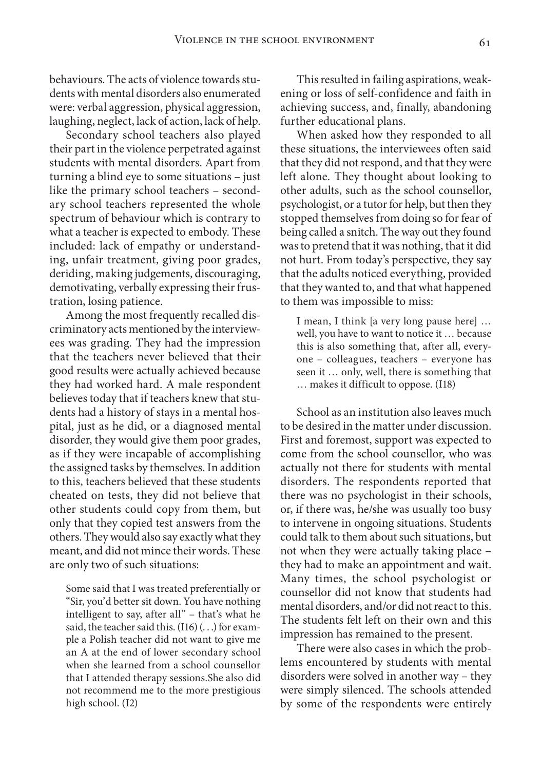behaviours. The acts of violence towards students with mental disorders also enumerated were: verbal aggression, physical aggression, laughing, neglect, lack of action, lack of help.

Secondary school teachers also played their part in the violence perpetrated against students with mental disorders. Apart from turning a blind eye to some situations – just like the primary school teachers – secondary school teachers represented the whole spectrum of behaviour which is contrary to what a teacher is expected to embody. These included: lack of empathy or understanding, unfair treatment, giving poor grades, deriding, making judgements, discouraging, demotivating, verbally expressing their frustration, losing patience.

Among the most frequently recalled discriminatory acts mentioned by the interviewees was grading. They had the impression that the teachers never believed that their good results were actually achieved because they had worked hard. A male respondent believes today that if teachers knew that students had a history of stays in a mental hospital, just as he did, or a diagnosed mental disorder, they would give them poor grades, as if they were incapable of accomplishing the assigned tasks by themselves. In addition to this, teachers believed that these students cheated on tests, they did not believe that other students could copy from them, but only that they copied test answers from the others. They would also say exactly what they meant, and did not mince their words. These are only two of such situations:

Some said that I was treated preferentially or "Sir, you'd better sit down. You have nothing intelligent to say, after all" – that's what he said, the teacher said this.  $(116)$   $($ ...) for example a Polish teacher did not want to give me an A at the end of lower secondary school when she learned from a school counsellor that I attended therapy sessions.She also did not recommend me to the more prestigious high school. (I2)

This resulted in failing aspirations, weakening or loss of self-confidence and faith in achieving success, and, finally, abandoning further educational plans.

When asked how they responded to all these situations, the interviewees often said that they did not respond, and that they were left alone. They thought about looking to other adults, such as the school counsellor, psychologist, or a tutor for help, but then they stopped themselves from doing so for fear of being called a snitch. The way out they found was to pretend that it was nothing, that it did not hurt. From today's perspective, they say that the adults noticed everything, provided that they wanted to, and that what happened to them was impossible to miss:

I mean, I think [a very long pause here] … well, you have to want to notice it … because this is also something that, after all, everyone – colleagues, teachers – everyone has seen it … only, well, there is something that … makes it difficult to oppose. (I18)

School as an institution also leaves much to be desired in the matter under discussion. First and foremost, support was expected to come from the school counsellor, who was actually not there for students with mental disorders. The respondents reported that there was no psychologist in their schools, or, if there was, he/she was usually too busy to intervene in ongoing situations. Students could talk to them about such situations, but not when they were actually taking place – they had to make an appointment and wait. Many times, the school psychologist or counsellor did not know that students had mental disorders, and/or did not react to this. The students felt left on their own and this impression has remained to the present.

There were also cases in which the problems encountered by students with mental disorders were solved in another way – they were simply silenced. The schools attended by some of the respondents were entirely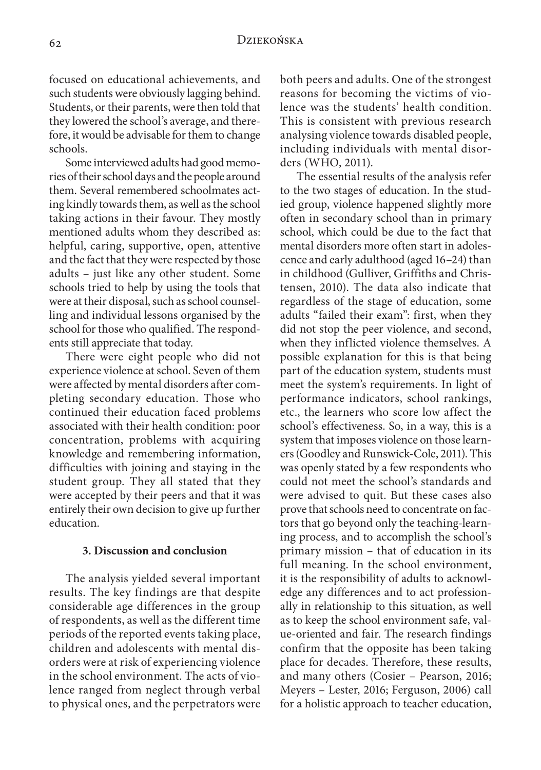# 62 Dziekońska

focused on educational achievements, and such students were obviously lagging behind. Students, or their parents, were then told that they lowered the school's average, and therefore, it would be advisable for them to change schools.

Some interviewed adults had good memories of their school days and the people around them. Several remembered schoolmates acting kindly towards them, as well as the school taking actions in their favour. They mostly mentioned adults whom they described as: helpful, caring, supportive, open, attentive and the fact that they were respected by those adults – just like any other student. Some schools tried to help by using the tools that were at their disposal, such as school counselling and individual lessons organised by the school for those who qualified. The respondents still appreciate that today.

There were eight people who did not experience violence at school. Seven of them were affected by mental disorders after completing secondary education. Those who continued their education faced problems associated with their health condition: poor concentration, problems with acquiring knowledge and remembering information, difficulties with joining and staying in the student group. They all stated that they were accepted by their peers and that it was entirely their own decision to give up further education.

## **3. Discussion and conclusion**

The analysis yielded several important results. The key findings are that despite considerable age differences in the group of respondents, as well as the different time periods of the reported events taking place, children and adolescents with mental disorders were at risk of experiencing violence in the school environment. The acts of violence ranged from neglect through verbal to physical ones, and the perpetrators were both peers and adults. One of the strongest reasons for becoming the victims of violence was the students' health condition. This is consistent with previous research analysing violence towards disabled people, including individuals with mental disorders (WHO, 2011).

The essential results of the analysis refer to the two stages of education. In the studied group, violence happened slightly more often in secondary school than in primary school, which could be due to the fact that mental disorders more often start in adolescence and early adulthood (aged 16–24) than in childhood (Gulliver, Griffiths and Christensen, 2010). The data also indicate that regardless of the stage of education, some adults "failed their exam": first, when they did not stop the peer violence, and second, when they inflicted violence themselves. A possible explanation for this is that being part of the education system, students must meet the system's requirements. In light of performance indicators, school rankings, etc., the learners who score low affect the school's effectiveness. So, in a way, this is a system that imposes violence on those learners (Goodley and Runswick-Cole, 2011). This was openly stated by a few respondents who could not meet the school's standards and were advised to quit. But these cases also prove that schools need to concentrate on factors that go beyond only the teaching-learning process, and to accomplish the school's primary mission – that of education in its full meaning. In the school environment, it is the responsibility of adults to acknowledge any differences and to act professionally in relationship to this situation, as well as to keep the school environment safe, value-oriented and fair. The research findings confirm that the opposite has been taking place for decades. Therefore, these results, and many others (Cosier – Pearson, 2016; Meyers – Lester, 2016; Ferguson, 2006) call for a holistic approach to teacher education,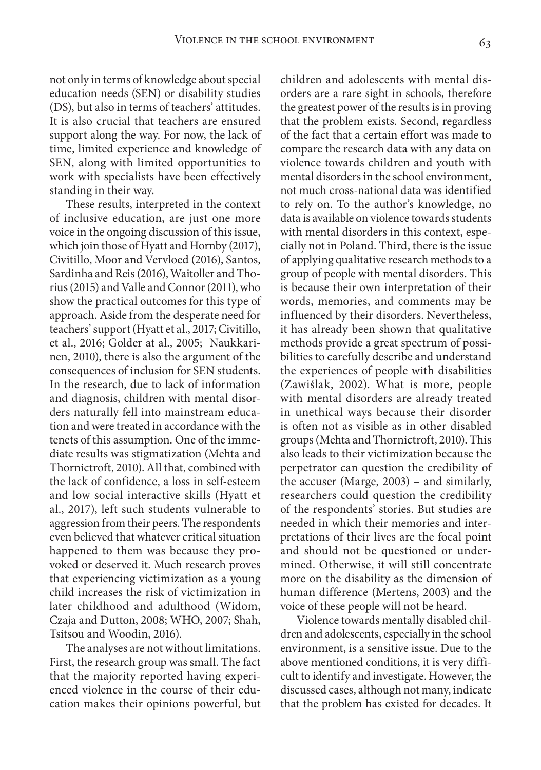not only in terms of knowledge about special education needs (SEN) or disability studies (DS), but also in terms of teachers' attitudes. It is also crucial that teachers are ensured support along the way. For now, the lack of time, limited experience and knowledge of SEN, along with limited opportunities to work with specialists have been effectively standing in their way.

These results, interpreted in the context of inclusive education, are just one more voice in the ongoing discussion of this issue, which join those of Hyatt and Hornby (2017), Civitillo, Moor and Vervloed (2016), Santos, Sardinha and Reis (2016), Waitoller and Thorius (2015) and Valle and Connor (2011), who show the practical outcomes for this type of approach. Aside from the desperate need for teachers' support (Hyatt et al., 2017; Civitillo, et al., 2016; Golder at al., 2005; Naukkarinen, 2010), there is also the argument of the consequences of inclusion for SEN students. In the research, due to lack of information and diagnosis, children with mental disorders naturally fell into mainstream education and were treated in accordance with the tenets of this assumption. One of the immediate results was stigmatization (Mehta and Thornictroft, 2010). All that, combined with the lack of confidence, a loss in self-esteem and low social interactive skills (Hyatt et al., 2017), left such students vulnerable to aggression from their peers. The respondents even believed that whatever critical situation happened to them was because they provoked or deserved it. Much research proves that experiencing victimization as a young child increases the risk of victimization in later childhood and adulthood (Widom, Czaja and Dutton, 2008; WHO, 2007; Shah, Tsitsou and Woodin, 2016).

The analyses are not without limitations. First, the research group was small. The fact that the majority reported having experienced violence in the course of their education makes their opinions powerful, but

children and adolescents with mental disorders are a rare sight in schools, therefore the greatest power of the results is in proving that the problem exists. Second, regardless of the fact that a certain effort was made to compare the research data with any data on violence towards children and youth with mental disorders in the school environment, not much cross-national data was identified to rely on. To the author's knowledge, no data is available on violence towards students with mental disorders in this context, especially not in Poland. Third, there is the issue of applying qualitative research methods to a group of people with mental disorders. This is because their own interpretation of their words, memories, and comments may be influenced by their disorders. Nevertheless, it has already been shown that qualitative methods provide a great spectrum of possibilities to carefully describe and understand the experiences of people with disabilities (Zawiślak, 2002). What is more, people with mental disorders are already treated in unethical ways because their disorder is often not as visible as in other disabled groups (Mehta and Thornictroft, 2010). This also leads to their victimization because the perpetrator can question the credibility of the accuser (Marge, 2003) – and similarly, researchers could question the credibility of the respondents' stories. But studies are needed in which their memories and interpretations of their lives are the focal point and should not be questioned or undermined. Otherwise, it will still concentrate more on the disability as the dimension of human difference (Mertens, 2003) and the voice of these people will not be heard.

Violence towards mentally disabled children and adolescents, especially in the school environment, is a sensitive issue. Due to the above mentioned conditions, it is very difficult to identify and investigate. However, the discussed cases, although not many, indicate that the problem has existed for decades. It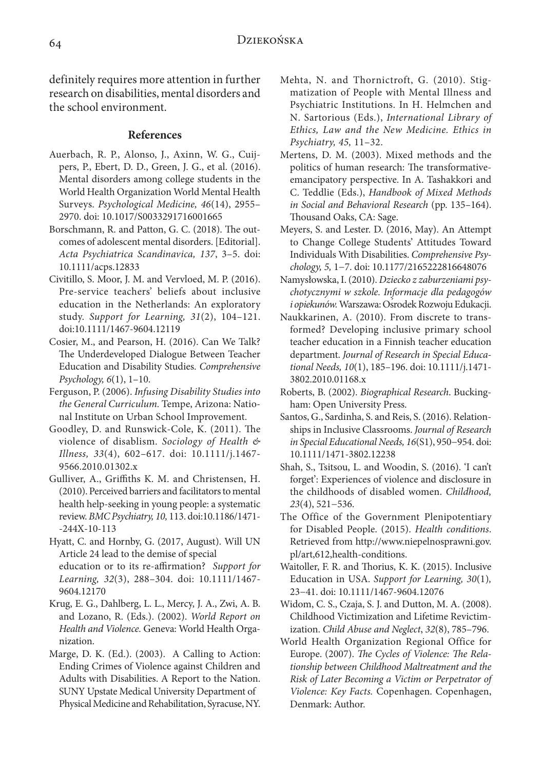definitely requires more attention in further research on disabilities, mental disorders and the school environment.

# **References**

- Auerbach, R. P., Alonso, J., Axinn, W. G., Cuijpers, P., Ebert, D. D., Green, J. G., et al. (2016). Mental disorders among college students in the World Health Organization World Mental Health Surveys. *Psychological Medicine, 46*(14), 2955– 2970. doi: 10.1017/S0033291716001665
- Borschmann, R. and Patton, G. C. (2018). The outcomes of adolescent mental disorders. [Editorial]. *Acta Psychiatrica Scandinavica, 137*, 3–5. doi: 10.1111/acps.12833
- Civitillo, S. Moor, J. M. and Vervloed, M. P. (2016). Pre‐service teachers' beliefs about inclusive education in the Netherlands: An exploratory study. *Support for Learning, 31*(2), 104–121. doi:10.1111/1467-9604.12119
- Cosier, M., and Pearson, H. (2016). Can We Talk? The Underdeveloped Dialogue Between Teacher Education and Disability Studies. *Comprehensive Psychology, 6*(1), 1–10.
- Ferguson, P. (2006). *Infusing Disability Studies into the General Curriculum.* Tempe, Arizona: National Institute on Urban School Improvement.
- Goodley, D. and Runswick-Cole, K. (2011). The violence of disablism. *Sociology of Health & Illness, 33*(4), 602–617. doi: 10.1111/j.1467- 9566.2010.01302.x
- Gulliver, A., Griffiths K. M. and Christensen, H. (2010). Perceived barriers and facilitators to mental health help-seeking in young people: a systematic review. *BMC Psychiatry, 10,* 113. doi:10.1186/1471- -244X-10-113
- Hyatt, C. and Hornby, G. (2017, August). Will UN Article 24 lead to the demise of special education or to its re-affirmation? *Support for Learning, 32*(3), 288–304. doi: 10.1111/1467- 9604.12170
- Krug, E. G., Dahlberg, L. L., Mercy, J. A., Zwi, A. B. and Lozano, R. (Eds.). (2002). *World Report on Health and Violence.* Geneva: World Health Organization.
- Marge, D. K. (Ed.). (2003). A Calling to Action: Ending Crimes of Violence against Children and Adults with Disabilities. A Report to the Nation. SUNY Upstate Medical University Department of Physical Medicine and Rehabilitation, Syracuse, NY.
- Mehta, N. and Thornictroft, G. (2010). Stigmatization of People with Mental Illness and Psychiatric Institutions. In H. Helmchen and N. Sartorious (Eds.), *International Library of Ethics, Law and the New Medicine. Ethics in Psychiatry, 45,* 11–32.
- Mertens, D. M. (2003). Mixed methods and the politics of human research: The transformativeemancipatory perspective. In A. Tashakkori and C. Teddlie (Eds.), *Handbook of Mixed Methods in Social and Behavioral Research* (pp. 135–164). Thousand Oaks, CA: Sage.
- Meyers, S. and Lester. D. (2016, May). An Attempt to Change College Students' Attitudes Toward Individuals With Disabilities. *Comprehensive Psychology, 5,* 1−7. doi: 10.1177/2165222816648076
- Namysłowska, I. (2010). *Dziecko z zaburzeniami psychotycznymi w szkole. Informacje dla pedagogów i opiekunów.* Warszawa: Osrodek Rozwoju Edukacji. ́
- Naukkarinen, A. (2010). From discrete to transformed? Developing inclusive primary school teacher education in a Finnish teacher education department. *Journal of Research in Special Educational Needs, 10*(1), 185–196. doi: 10.1111/j.1471- 3802.2010.01168.x
- Roberts, B. (2002). *Biographical Research*. Buckingham: Open University Press.
- Santos, G., Sardinha, S. and Reis, S. (2016). Relationships in Inclusive Classrooms. *Journal of Research in Special Educational Needs, 16*(S1), 950−954. doi: 10.1111/1471-3802.12238
- Shah, S., Tsitsou, L. and Woodin, S. (2016). 'I can't forget': Experiences of violence and disclosure in the childhoods of disabled women. *Childhood, 23*(4), 521−536.
- The Office of the Government Plenipotentiary for Disabled People. (2015). *Health conditions*. Retrieved from http://www.niepelnosprawni.gov. pl/art,612,health-conditions.
- Waitoller, F. R. and Thorius, K. K. (2015). Inclusive Education in USA. *Support for Learning, 30*(1)*,* 23−41. doi: 10.1111/1467-9604.12076
- Widom, C. S., Czaja, S. J. and Dutton, M. A. (2008). Childhood Victimization and Lifetime Revictimization. *Child Abuse and Neglect*, *32*(8), 785–796.
- World Health Organization Regional Office for Europe. (2007). *The Cycles of Violence: The Relationship between Childhood Maltreatment and the Risk of Later Becoming a Victim or Perpetrator of Violence: Key Facts.* Copenhagen. Copenhagen, Denmark: Author.